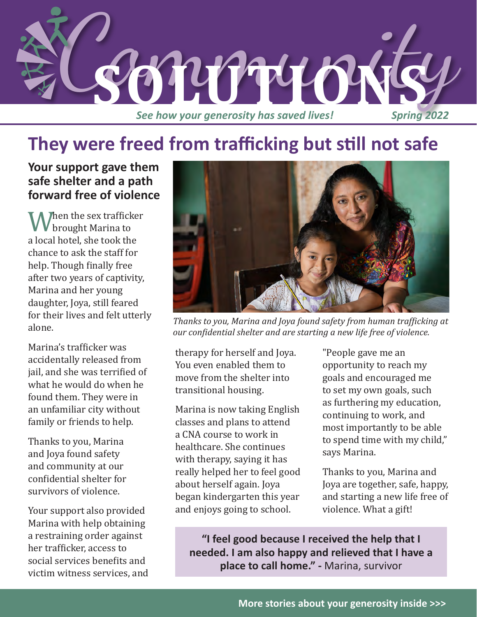

# **They were freed from trafficking but still not safe**

**Your support gave them safe shelter and a path forward free of violence**

When the sex trafficker<br>a local hotel, she took the brought Marina to chance to ask the staff for help. Though finally free after two years of captivity, Marina and her young daughter, Joya, still feared for their lives and felt utterly alone.

Marina's trafficker was accidentally released from jail, and she was terrified of what he would do when he found them. They were in an unfamiliar city without family or friends to help.

Thanks to you, Marina and Joya found safety and community at our confidential shelter for survivors of violence.

Your support also provided Marina with help obtaining a restraining order against her trafficker, access to social services benefits and victim witness services, and



*Thanks to you, Marina and Joya found safety from human trafficking at our confidential shelter and are starting a new life free of violence.*

therapy for herself and Joya. You even enabled them to move from the shelter into transitional housing.

Marina is now taking English classes and plans to attend a CNA course to work in healthcare. She continues with therapy, saying it has really helped her to feel good about herself again. Joya began kindergarten this year and enjoys going to school.

"People gave me an opportunity to reach my goals and encouraged me to set my own goals, such as furthering my education, continuing to work, and most importantly to be able to spend time with my child," says Marina.

Thanks to you, Marina and Joya are together, safe, happy, and starting a new life free of violence. What a gift!

**"I feel good because I received the help that I needed. I am also happy and relieved that I have a place to call home." -** Marina, survivor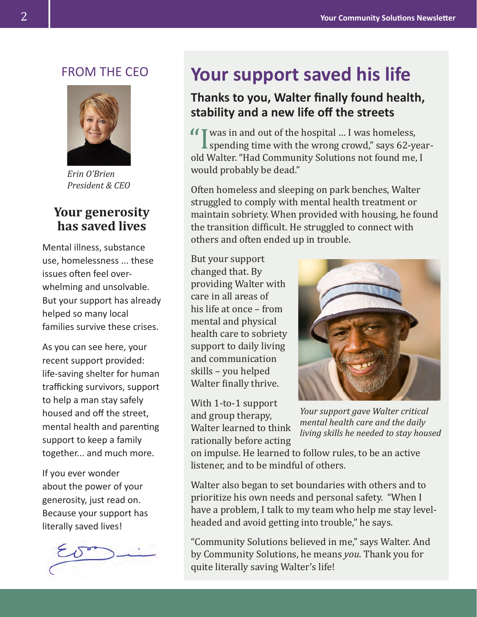#### FROM THE CEO



*Erin O'Brien President & CEO* 

#### **Your generosity has saved lives**

Mental illness, substance use, homelessness ... these issues often feel overwhelming and unsolvable. But your support has already helped so many local families survive these crises.

As you can see here, your recent support provided: life-saving shelter for human trafficking survivors, support to help a man stay safely housed and off the street, mental health and parenting support to keep a family together... and much more.

If you ever wonder about the power of your generosity, just read on. Because your support has literally saved lives!



## **Your support saved his life**

#### **Thanks to you, Walter finally found health, stability and a new life off the streets**

**I** was in and out of the hospital … I was homeless,<br>spending time with the wrong crowd," says 62-ye<br>old Walter. "Had Community Solutions not found me. spending time with the wrong crowd," says 62-yearold Walter. "Had Community Solutions not found me, I would probably be dead."

Often homeless and sleeping on park benches, Walter struggled to comply with mental health treatment or maintain sobriety. When provided with housing, he found the transition difficult. He struggled to connect with others and often ended up in trouble.

But your support changed that. By providing Walter with care in all areas of his life at once – from mental and physical health care to sobriety support to daily living and communication skills – you helped Walter finally thrive.

With 1-to-1 support and group therapy, Walter learned to think rationally before acting



*Your support gave Walter critical mental health care and the daily living skills he needed to stay housed* 

on impulse. He learned to follow rules, to be an active listener, and to be mindful of others.

Walter also began to set boundaries with others and to prioritize his own needs and personal safety. "When I have a problem, I talk to my team who help me stay levelheaded and avoid getting into trouble," he says.

"Community Solutions believed in me," says Walter. And by Community Solutions, he means *you*. Thank you for quite literally saving Walter's life!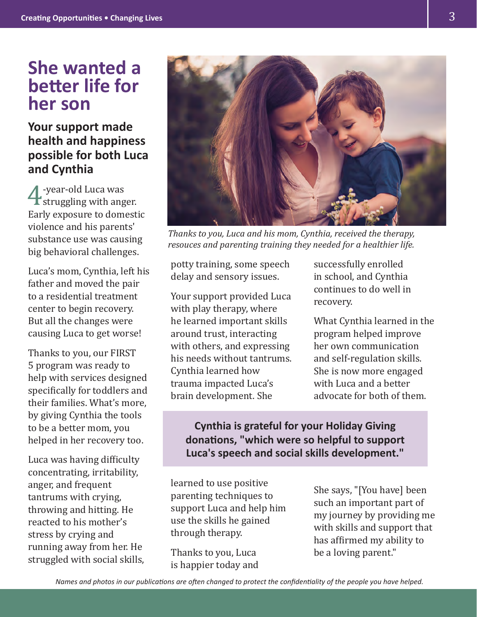# **She wanted a better life for her son**

### **Your support made health and happiness possible for both Luca and Cynthia**

**4** -year-old Luca was<br>struggling with ang<br>Early exposure to dome struggling with anger. Early exposure to domestic violence and his parents' substance use was causing big behavioral challenges.

Luca's mom, Cynthia, left his father and moved the pair to a residential treatment center to begin recovery. But all the changes were causing Luca to get worse!

Thanks to you, our FIRST 5 program was ready to help with services designed specifically for toddlers and their families. What's more, by giving Cynthia the tools to be a better mom, you helped in her recovery too.

Luca was having difficulty concentrating, irritability, anger, and frequent tantrums with crying, throwing and hitting. He reacted to his mother's stress by crying and running away from her. He struggled with social skills,



*Thanks to you, Luca and his mom, Cynthia, received the therapy, resouces and parenting training they needed for a healthier life.*

potty training, some speech delay and sensory issues.

Your support provided Luca with play therapy, where he learned important skills around trust, interacting with others, and expressing his needs without tantrums. Cynthia learned how trauma impacted Luca's brain development. She

successfully enrolled in school, and Cynthia continues to do well in recovery.

What Cynthia learned in the program helped improve her own communication and self-regulation skills. She is now more engaged with Luca and a better advocate for both of them.

**Cynthia is grateful for your Holiday Giving donations, "which were so helpful to support Luca's speech and social skills development."**

learned to use positive parenting techniques to support Luca and help him use the skills he gained through therapy.

Thanks to you, Luca is happier today and She says, "[You have] been such an important part of my journey by providing me with skills and support that has affirmed my ability to be a loving parent."